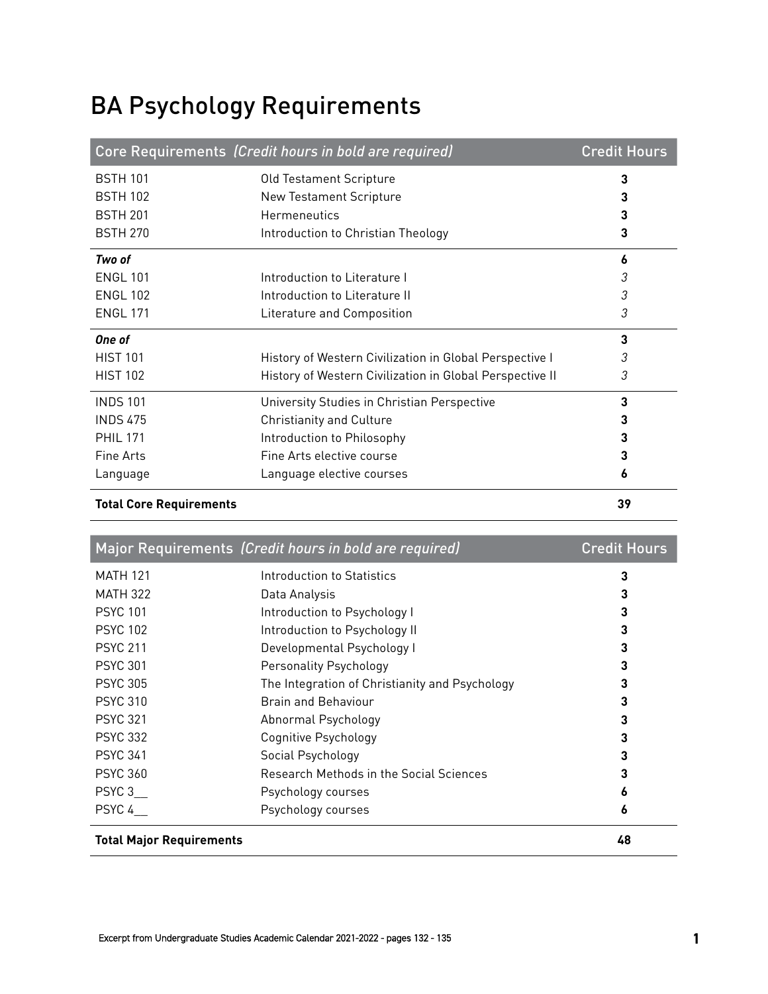## BA Psychology Requirements

|                                | Core Requirements (Credit hours in bold are required)    | <b>Credit Hours</b> |
|--------------------------------|----------------------------------------------------------|---------------------|
| <b>BSTH 101</b>                | Old Testament Scripture                                  | 3                   |
| <b>BSTH 102</b>                | <b>New Testament Scripture</b>                           |                     |
| <b>BSTH 201</b>                | <b>Hermeneutics</b>                                      | 3                   |
| <b>BSTH 270</b>                | Introduction to Christian Theology                       | 3                   |
| Two of                         |                                                          | 6                   |
| <b>ENGL 101</b>                | Introduction to Literature I                             | 3                   |
| <b>ENGL 102</b>                | Introduction to Literature II                            | 3                   |
| <b>ENGL 171</b>                | Literature and Composition                               | 3                   |
| One of                         |                                                          | 3                   |
| <b>HIST 101</b>                | History of Western Civilization in Global Perspective I  | 3                   |
| <b>HIST 102</b>                | History of Western Civilization in Global Perspective II | 3                   |
| <b>INDS 101</b>                | University Studies in Christian Perspective              | 3                   |
| <b>INDS 475</b>                | <b>Christianity and Culture</b>                          | 3                   |
| <b>PHIL 171</b>                | Introduction to Philosophy                               |                     |
| Fine Arts                      | Fine Arts elective course                                | 3                   |
| Language                       | Language elective courses                                | 6                   |
| <b>Total Core Requirements</b> |                                                          | 39                  |

|                                 | Major Requirements (Credit hours in bold are required) | <b>Credit Hours</b> |
|---------------------------------|--------------------------------------------------------|---------------------|
| <b>MATH 121</b>                 | Introduction to Statistics                             | 3                   |
| <b>MATH 322</b>                 | Data Analysis                                          | 3                   |
| <b>PSYC 101</b>                 | Introduction to Psychology I                           | 3                   |
| <b>PSYC 102</b>                 | Introduction to Psychology II                          | 3                   |
| <b>PSYC 211</b>                 | Developmental Psychology I                             | 3                   |
| <b>PSYC 301</b>                 | <b>Personality Psychology</b>                          | 3                   |
| <b>PSYC 305</b>                 | The Integration of Christianity and Psychology         | 3                   |
| <b>PSYC 310</b>                 | <b>Brain and Behaviour</b>                             | 3                   |
| <b>PSYC 321</b>                 | Abnormal Psychology                                    | 3                   |
| <b>PSYC 332</b>                 | Cognitive Psychology                                   | 3                   |
| <b>PSYC 341</b>                 | Social Psychology                                      | 3                   |
| <b>PSYC 360</b>                 | Research Methods in the Social Sciences                | 3                   |
| PSYC 3                          | Psychology courses                                     | 6                   |
| PSYC 4                          | Psychology courses                                     | 6                   |
| <b>Total Major Requirements</b> |                                                        | 48                  |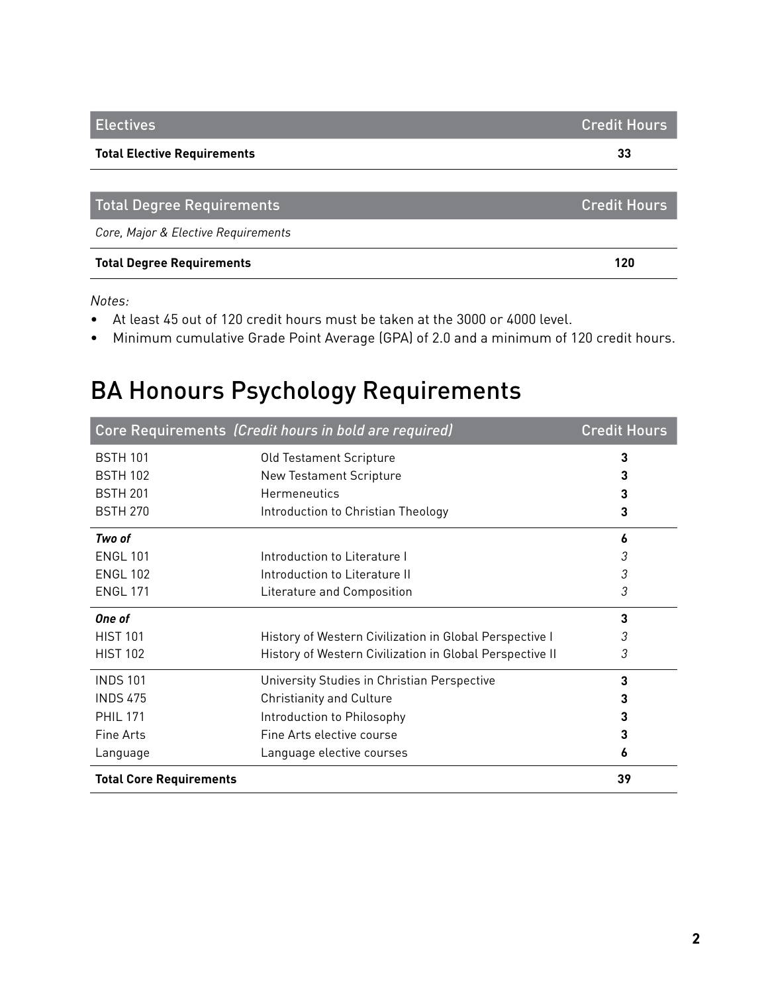| <b>Electives</b>                    | <b>Credit Hours</b> |
|-------------------------------------|---------------------|
| <b>Total Elective Requirements</b>  | 33                  |
|                                     |                     |
| <b>Total Degree Requirements</b>    | <b>Credit Hours</b> |
| Core, Major & Elective Requirements |                     |
| <b>Total Degree Requirements</b>    | 120                 |

*Notes:*

- At least 45 out of 120 credit hours must be taken at the 3000 or 4000 level.
- Minimum cumulative Grade Point Average (GPA) of 2.0 and a minimum of 120 credit hours.

## BA Honours Psychology Requirements

|                                | Core Requirements (Credit hours in bold are required)    | <b>Credit Hours</b> |
|--------------------------------|----------------------------------------------------------|---------------------|
| <b>BSTH 101</b>                | Old Testament Scripture                                  | 3                   |
| <b>BSTH 102</b>                | <b>New Testament Scripture</b>                           | 3                   |
| <b>BSTH 201</b>                | Hermeneutics                                             | 3                   |
| <b>BSTH 270</b>                | Introduction to Christian Theology                       | 3                   |
| Two of                         |                                                          | 6                   |
| <b>ENGL 101</b>                | Introduction to Literature I                             | 3                   |
| <b>ENGL 102</b>                | Introduction to Literature II                            | 3                   |
| <b>ENGL 171</b>                | Literature and Composition                               | 3                   |
| One of                         |                                                          | 3                   |
| <b>HIST 101</b>                | History of Western Civilization in Global Perspective I  | 3                   |
| <b>HIST 102</b>                | History of Western Civilization in Global Perspective II | 3                   |
| <b>INDS 101</b>                | University Studies in Christian Perspective              | 3                   |
| <b>INDS 475</b>                | <b>Christianity and Culture</b>                          |                     |
| <b>PHIL 171</b>                | Introduction to Philosophy                               | 3                   |
| Fine Arts                      | Fine Arts elective course                                | 3                   |
| Language                       | Language elective courses                                | 6                   |
| <b>Total Core Requirements</b> |                                                          | 39                  |